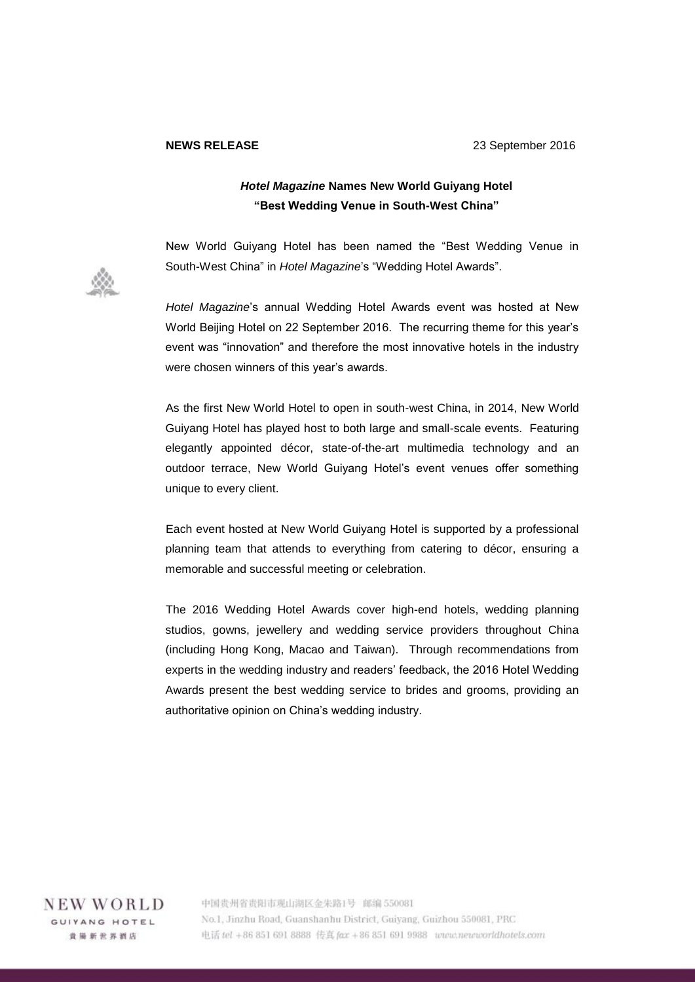## **NEWS RELEASE** 23 September 2016

## *Hotel Magazine* **Names New World Guiyang Hotel "Best Wedding Venue in South-West China"**

New World Guiyang Hotel has been named the "Best Wedding Venue in South-West China" in *Hotel Magazine*'s "Wedding Hotel Awards".

*Hotel Magazine*'s annual Wedding Hotel Awards event was hosted at New World Beijing Hotel on 22 September 2016. The recurring theme for this year's event was "innovation" and therefore the most innovative hotels in the industry were chosen winners of this year's awards.

As the first New World Hotel to open in south-west China, in 2014, New World Guiyang Hotel has played host to both large and small-scale events. Featuring elegantly appointed décor, state-of-the-art multimedia technology and an outdoor terrace, New World Guiyang Hotel's event venues offer something unique to every client.

Each event hosted at New World Guiyang Hotel is supported by a professional planning team that attends to everything from catering to décor, ensuring a memorable and successful meeting or celebration.

The 2016 Wedding Hotel Awards cover high-end hotels, wedding planning studios, gowns, jewellery and wedding service providers throughout China (including Hong Kong, Macao and Taiwan). Through recommendations from experts in the wedding industry and readers' feedback, the 2016 Hotel Wedding Awards present the best wedding service to brides and grooms, providing an authoritative opinion on China's wedding industry.